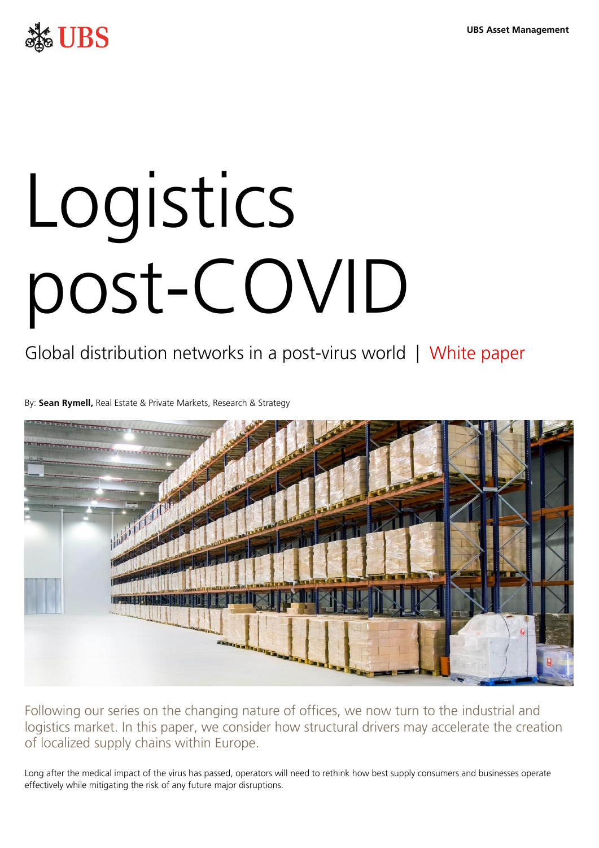

# Logistics post-COVID

# Global distribution networks in a post-virus world | White paper

By: **Sean Rymell,** Real Estate & Private Markets, Research & Strategy



Following our series on the changing nature of offices, we now turn to the industrial and logistics market. In this paper, we consider how structural drivers may accelerate the creation of localized supply chains within Europe.

Long after the medical impact of the virus has passed, operators will need to rethink how best supply consumers and businesses operate effectively while mitigating the risk of any future major disruptions.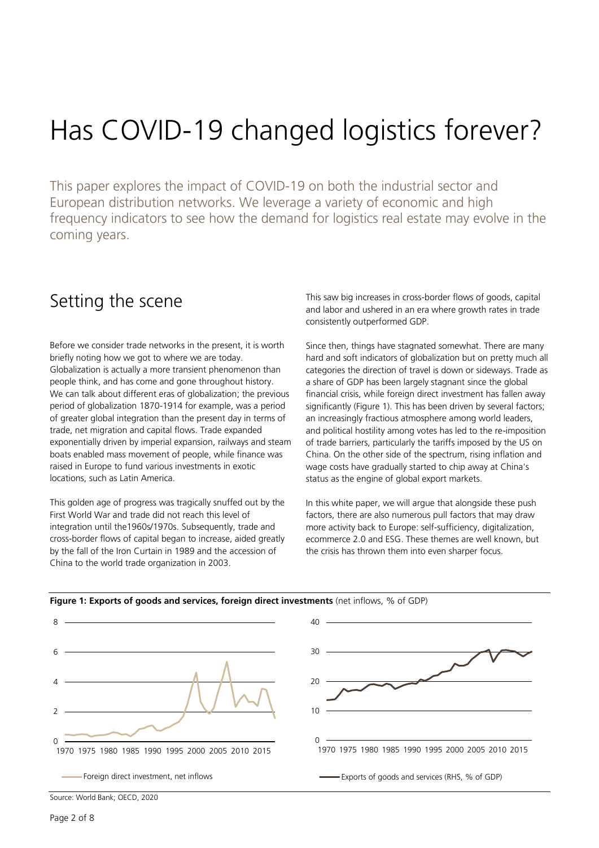# Has COVID-19 changed logistics forever?

This paper explores the impact of COVID-19 on both the industrial sector and European distribution networks. We leverage a variety of economic and high frequency indicators to see how the demand for logistics real estate may evolve in the coming years.

### Setting the scene

Before we consider trade networks in the present, it is worth briefly noting how we got to where we are today. Globalization is actually a more transient phenomenon than people think, and has come and gone throughout history. We can talk about different eras of globalization; the previous period of globalization 1870-1914 for example, was a period of greater global integration than the present day in terms of trade, net migration and capital flows. Trade expanded exponentially driven by imperial expansion, railways and steam boats enabled mass movement of people, while finance was raised in Europe to fund various investments in exotic locations, such as Latin America.

This golden age of progress was tragically snuffed out by the First World War and trade did not reach this level of integration until the1960s/1970s. Subsequently, trade and cross-border flows of capital began to increase, aided greatly by the fall of the Iron Curtain in 1989 and the accession of China to the world trade organization in 2003.

This saw big increases in cross-border flows of goods, capital and labor and ushered in an era where growth rates in trade consistently outperformed GDP.

Since then, things have stagnated somewhat. There are many hard and soft indicators of globalization but on pretty much all categories the direction of travel is down or sideways. Trade as a share of GDP has been largely stagnant since the global financial crisis, while foreign direct investment has fallen away significantly (Figure 1). This has been driven by several factors; an increasingly fractious atmosphere among world leaders, and political hostility among votes has led to the re-imposition of trade barriers, particularly the tariffs imposed by the US on China. On the other side of the spectrum, rising inflation and wage costs have gradually started to chip away at China's status as the engine of global export markets.

In this white paper, we will argue that alongside these push factors, there are also numerous pull factors that may draw more activity back to Europe: self-sufficiency, digitalization, ecommerce 2.0 and ESG. These themes are well known, but the crisis has thrown them into even sharper focus.



#### **Figure 1: Exports of goods and services, foreign direct investments** (net inflows, % of GDP)

Source: World Bank; OECD, 2020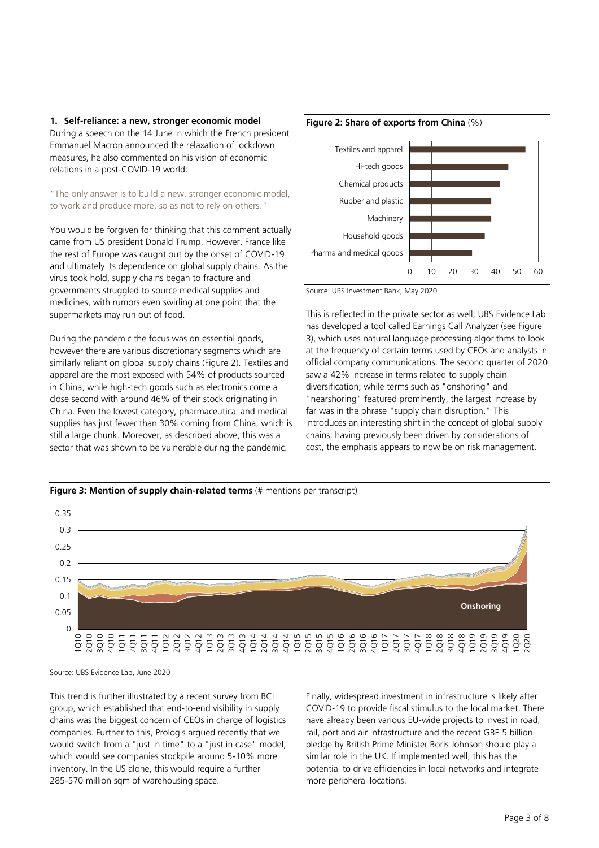**1. Self-reliance: a new, stronger economic model**

During a speech on the 14 June in which the French president Emmanuel Macron announced the relaxation of lockdown measures, he also commented on his vision of economic relations in a post-COVID-19 world:

"The only answer is to build a new, stronger economic model, to work and produce more, so as not to rely on others."

You would be forgiven for thinking that this comment actually came from US president Donald Trump. However, France like the rest of Europe was caught out by the onset of COVID-19 and ultimately its dependence on global supply chains. As the virus took hold, supply chains began to fracture and governments struggled to source medical supplies and medicines, with rumors even swirling at one point that the supermarkets may run out of food.

During the pandemic the focus was on essential goods, however there are various discretionary segments which are similarly reliant on global supply chains (Figure 2). Textiles and apparel are the most exposed with 54% of products sourced in China, while high-tech goods such as electronics come a close second with around 46% of their stock originating in China. Even the lowest category, pharmaceutical and medical supplies has just fewer than 30% coming from China, which is still a large chunk. Moreover, as described above, this was a sector that was shown to be vulnerable during the pandemic.





Source: UBS Investment Bank, May 2020

This is reflected in the private sector as well; UBS Evidence Lab has developed a tool called Earnings Call Analyzer (see Figure 3), which uses natural language processing algorithms to look at the frequency of certain terms used by CEOs and analysts in official company communications. The second quarter of 2020 saw a 42% increase in terms related to supply chain diversification; while terms such as "onshoring" and "nearshoring" featured prominently, the largest increase by far was in the phrase "supply chain disruption." This introduces an interesting shift in the concept of global supply chains; having previously been driven by considerations of cost, the emphasis appears to now be on risk management.



Source: UBS Evidence Lab, June 2020

This trend is further illustrated by a recent survey from BCI group, which established that end-to-end visibility in supply chains was the biggest concern of CEOs in charge of logistics companies. Further to this, Prologis argued recently that we would switch from a "just in time" to a "just in case" model, which would see companies stockpile around 5-10% more inventory. In the US alone, this would require a further 285-570 million sqm of warehousing space.

Finally, widespread investment in infrastructure is likely after COVID-19 to provide fiscal stimulus to the local market. There have already been various EU-wide projects to invest in road, rail, port and air infrastructure and the recent GBP 5 billion pledge by British Prime Minister Boris Johnson should play a similar role in the UK. If implemented well, this has the potential to drive efficiencies in local networks and integrate more peripheral locations.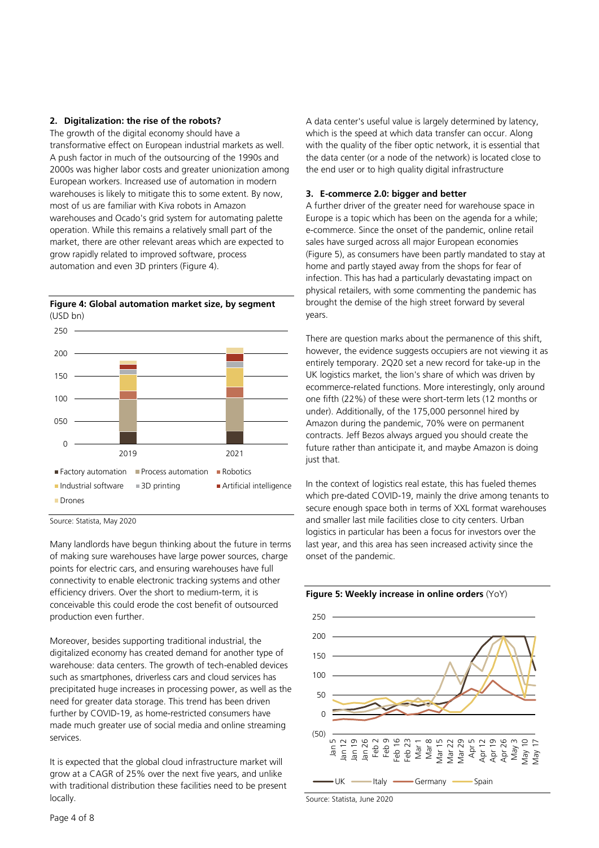#### **2. Digitalization: the rise of the robots?**

The growth of the digital economy should have a transformative effect on European industrial markets as well. A push factor in much of the outsourcing of the 1990s and 2000s was higher labor costs and greater unionization among European workers. Increased use of automation in modern warehouses is likely to mitigate this to some extent. By now, most of us are familiar with Kiva robots in Amazon warehouses and Ocado's grid system for automating palette operation. While this remains a relatively small part of the market, there are other relevant areas which are expected to grow rapidly related to improved software, process automation and even 3D printers (Figure 4).





Source: Statista, May 2020

Many landlords have begun thinking about the future in terms of making sure warehouses have large power sources, charge points for electric cars, and ensuring warehouses have full connectivity to enable electronic tracking systems and other efficiency drivers. Over the short to medium-term, it is conceivable this could erode the cost benefit of outsourced production even further.

Moreover, besides supporting traditional industrial, the digitalized economy has created demand for another type of warehouse: data centers. The growth of tech-enabled devices such as smartphones, driverless cars and cloud services has precipitated huge increases in processing power, as well as the need for greater data storage. This trend has been driven further by COVID-19, as home-restricted consumers have made much greater use of social media and online streaming services.

It is expected that the global cloud infrastructure market will grow at a CAGR of 25% over the next five years, and unlike with traditional distribution these facilities need to be present locally.

A data center's useful value is largely determined by latency, which is the speed at which data transfer can occur. Along with the quality of the fiber optic network, it is essential that the data center (or a node of the network) is located close to the end user or to high quality digital infrastructure

#### **3. E-commerce 2.0: bigger and better**

A further driver of the greater need for warehouse space in Europe is a topic which has been on the agenda for a while; e-commerce. Since the onset of the pandemic, online retail sales have surged across all major European economies (Figure 5), as consumers have been partly mandated to stay at home and partly stayed away from the shops for fear of infection. This has had a particularly devastating impact on physical retailers, with some commenting the pandemic has brought the demise of the high street forward by several years.

There are question marks about the permanence of this shift, however, the evidence suggests occupiers are not viewing it as entirely temporary. 2Q20 set a new record for take-up in the UK logistics market, the lion's share of which was driven by ecommerce-related functions. More interestingly, only around one fifth (22%) of these were short-term lets (12 months or under). Additionally, of the 175,000 personnel hired by Amazon during the pandemic, 70% were on permanent contracts. Jeff Bezos always argued you should create the future rather than anticipate it, and maybe Amazon is doing just that.

In the context of logistics real estate, this has fueled themes which pre-dated COVID-19, mainly the drive among tenants to secure enough space both in terms of XXL format warehouses and smaller last mile facilities close to city centers. Urban logistics in particular has been a focus for investors over the last year, and this area has seen increased activity since the onset of the pandemic.



Source: Statista, June 2020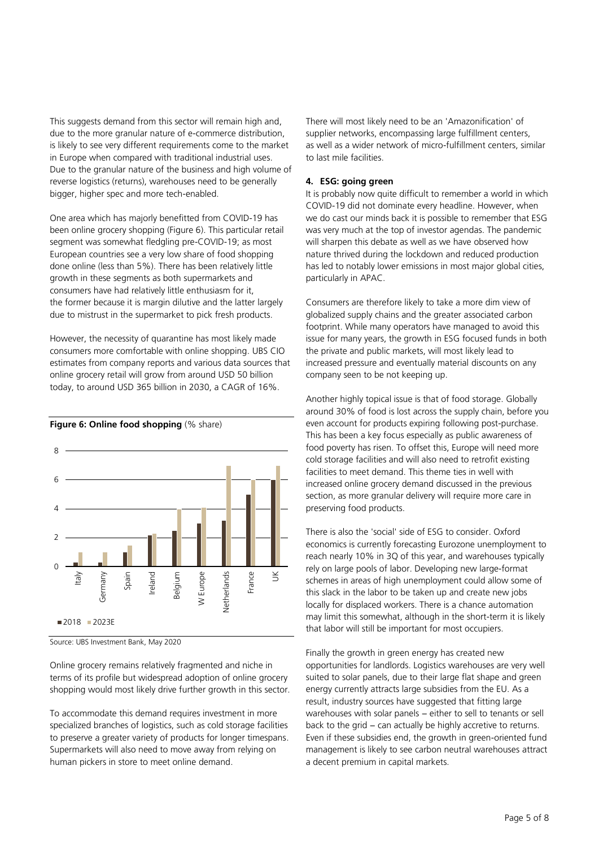This suggests demand from this sector will remain high and, due to the more granular nature of e-commerce distribution, is likely to see very different requirements come to the market in Europe when compared with traditional industrial uses. Due to the granular nature of the business and high volume of reverse logistics (returns), warehouses need to be generally bigger, higher spec and more tech-enabled.

One area which has majorly benefitted from COVID-19 has been online grocery shopping (Figure 6). This particular retail segment was somewhat fledgling pre-COVID-19; as most European countries see a very low share of food shopping done online (less than 5%). There has been relatively little growth in these segments as both supermarkets and consumers have had relatively little enthusiasm for it, the former because it is margin dilutive and the latter largely due to mistrust in the supermarket to pick fresh products.

However, the necessity of quarantine has most likely made consumers more comfortable with online shopping. UBS CIO estimates from company reports and various data sources that online grocery retail will grow from around USD 50 billion today, to around USD 365 billion in 2030, a CAGR of 16%.



**Figure 6: Online food shopping** (% share)

Online grocery remains relatively fragmented and niche in terms of its profile but widespread adoption of online grocery shopping would most likely drive further growth in this sector.

To accommodate this demand requires investment in more specialized branches of logistics, such as cold storage facilities to preserve a greater variety of products for longer timespans. Supermarkets will also need to move away from relying on human pickers in store to meet online demand.

There will most likely need to be an 'Amazonification' of supplier networks, encompassing large fulfillment centers, as well as a wider network of micro-fulfillment centers, similar to last mile facilities.

#### **4. ESG: going green**

It is probably now quite difficult to remember a world in which COVID-19 did not dominate every headline. However, when we do cast our minds back it is possible to remember that ESG was very much at the top of investor agendas. The pandemic will sharpen this debate as well as we have observed how nature thrived during the lockdown and reduced production has led to notably lower emissions in most major global cities, particularly in APAC.

Consumers are therefore likely to take a more dim view of globalized supply chains and the greater associated carbon footprint. While many operators have managed to avoid this issue for many years, the growth in ESG focused funds in both the private and public markets, will most likely lead to increased pressure and eventually material discounts on any company seen to be not keeping up.

Another highly topical issue is that of food storage. Globally around 30% of food is lost across the supply chain, before you even account for products expiring following post-purchase. This has been a key focus especially as public awareness of food poverty has risen. To offset this, Europe will need more cold storage facilities and will also need to retrofit existing facilities to meet demand. This theme ties in well with increased online grocery demand discussed in the previous section, as more granular delivery will require more care in preserving food products.

There is also the 'social' side of ESG to consider. Oxford economics is currently forecasting Eurozone unemployment to reach nearly 10% in 3Q of this year, and warehouses typically rely on large pools of labor. Developing new large-format schemes in areas of high unemployment could allow some of this slack in the labor to be taken up and create new jobs locally for displaced workers. There is a chance automation may limit this somewhat, although in the short-term it is likely that labor will still be important for most occupiers.

Finally the growth in green energy has created new opportunities for landlords. Logistics warehouses are very well suited to solar panels, due to their large flat shape and green energy currently attracts large subsidies from the EU. As a result, industry sources have suggested that fitting large warehouses with solar panels – either to sell to tenants or sell back to the grid − can actually be highly accretive to returns. Even if these subsidies end, the growth in green-oriented fund management is likely to see carbon neutral warehouses attract a decent premium in capital markets.

Source: UBS Investment Bank, May 2020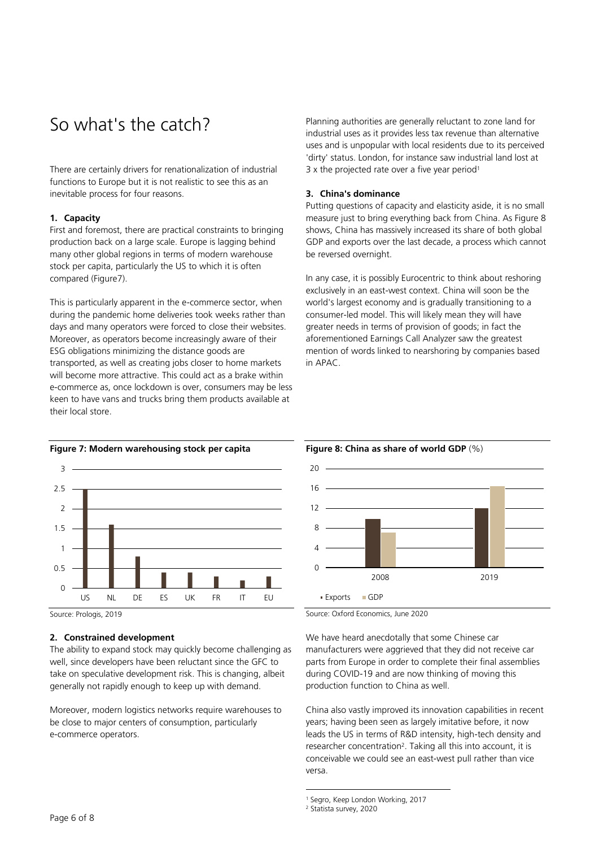# So what's the catch?

There are certainly drivers for renationalization of industrial functions to Europe but it is not realistic to see this as an inevitable process for four reasons.

#### **1. Capacity**

First and foremost, there are practical constraints to bringing production back on a large scale. Europe is lagging behind many other global regions in terms of modern warehouse stock per capita, particularly the US to which it is often compared (Figure7).

This is particularly apparent in the e-commerce sector, when during the pandemic home deliveries took weeks rather than days and many operators were forced to close their websites. Moreover, as operators become increasingly aware of their ESG obligations minimizing the distance goods are transported, as well as creating jobs closer to home markets will become more attractive. This could act as a brake within e-commerce as, once lockdown is over, consumers may be less keen to have vans and trucks bring them products available at their local store.

**Figure 7: Modern warehousing stock per capita**  1.5  $\overline{2}$ 2.5 3

Source: Prologis, 2019

0 0.5

1

#### **2. Constrained development**

The ability to expand stock may quickly become challenging as well, since developers have been reluctant since the GFC to take on speculative development risk. This is changing, albeit generally not rapidly enough to keep up with demand.

US NL DE ES UK FR IT EU

Moreover, modern logistics networks require warehouses to be close to major centers of consumption, particularly e-commerce operators.

Planning authorities are generally reluctant to zone land for industrial uses as it provides less tax revenue than alternative uses and is unpopular with local residents due to its perceived 'dirty' status. London, for instance saw industrial land lost at 3 x the projected rate over a five year period<sup>1</sup>

#### **3. China's dominance**

Putting questions of capacity and elasticity aside, it is no small measure just to bring everything back from China. As Figure 8 shows, China has massively increased its share of both global GDP and exports over the last decade, a process which cannot be reversed overnight.

In any case, it is possibly Eurocentric to think about reshoring exclusively in an east-west context. China will soon be the world's largest economy and is gradually transitioning to a consumer-led model. This will likely mean they will have greater needs in terms of provision of goods; in fact the aforementioned Earnings Call Analyzer saw the greatest mention of words linked to nearshoring by companies based in APAC.



#### **Figure 8: China as share of world GDP** (%)

We have heard anecdotally that some Chinese car manufacturers were aggrieved that they did not receive car parts from Europe in order to complete their final assemblies during COVID-19 and are now thinking of moving this production function to China as well.

China also vastly improved its innovation capabilities in recent years; having been seen as largely imitative before, it now leads the US in terms of R&D intensity, high-tech density and researcher concentration<sup>2</sup>. Taking all this into account, it is conceivable we could see an east-west pull rather than vice versa.

1

Source: Oxford Economics, June 2020

<sup>1</sup> Segro, Keep London Working, 2017

<sup>2</sup> Statista survey, 2020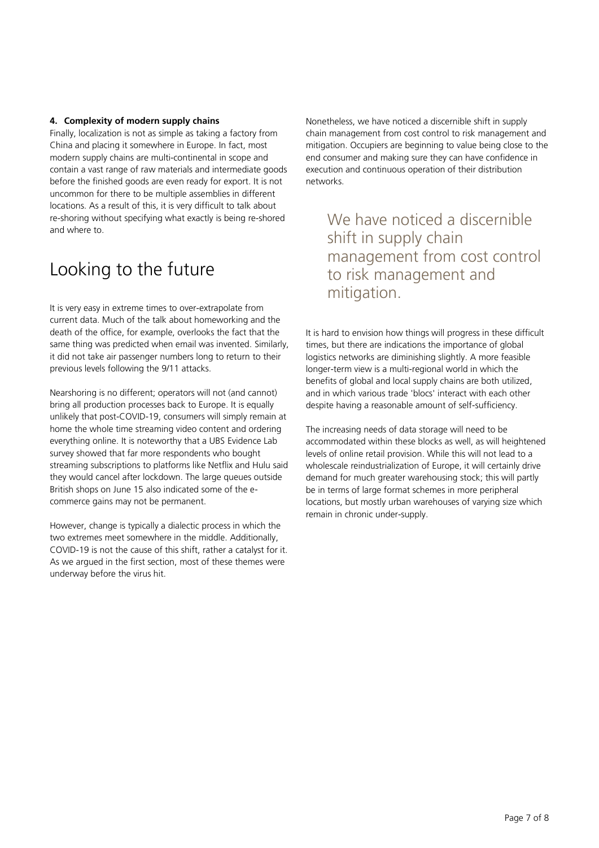#### **4. Complexity of modern supply chains**

Finally, localization is not as simple as taking a factory from China and placing it somewhere in Europe. In fact, most modern supply chains are multi-continental in scope and contain a vast range of raw materials and intermediate goods before the finished goods are even ready for export. It is not uncommon for there to be multiple assemblies in different locations. As a result of this, it is very difficult to talk about re-shoring without specifying what exactly is being re-shored and where to.

## Looking to the future

It is very easy in extreme times to over-extrapolate from current data. Much of the talk about homeworking and the death of the office, for example, overlooks the fact that the same thing was predicted when email was invented. Similarly, it did not take air passenger numbers long to return to their previous levels following the 9/11 attacks.

Nearshoring is no different; operators will not (and cannot) bring all production processes back to Europe. It is equally unlikely that post-COVID-19, consumers will simply remain at home the whole time streaming video content and ordering everything online. It is noteworthy that a UBS Evidence Lab survey showed that far more respondents who bought streaming subscriptions to platforms like Netflix and Hulu said they would cancel after lockdown. The large queues outside British shops on June 15 also indicated some of the ecommerce gains may not be permanent.

However, change is typically a dialectic process in which the two extremes meet somewhere in the middle. Additionally, COVID-19 is not the cause of this shift, rather a catalyst for it. As we argued in the first section, most of these themes were underway before the virus hit.

Nonetheless, we have noticed a discernible shift in supply chain management from cost control to risk management and mitigation. Occupiers are beginning to value being close to the end consumer and making sure they can have confidence in execution and continuous operation of their distribution networks.

We have noticed a discernible shift in supply chain management from cost control to risk management and mitigation.

It is hard to envision how things will progress in these difficult times, but there are indications the importance of global logistics networks are diminishing slightly. A more feasible longer-term view is a multi-regional world in which the benefits of global and local supply chains are both utilized, and in which various trade 'blocs' interact with each other despite having a reasonable amount of self-sufficiency.

The increasing needs of data storage will need to be accommodated within these blocks as well, as will heightened levels of online retail provision. While this will not lead to a wholescale reindustrialization of Europe, it will certainly drive demand for much greater warehousing stock; this will partly be in terms of large format schemes in more peripheral locations, but mostly urban warehouses of varying size which remain in chronic under-supply.